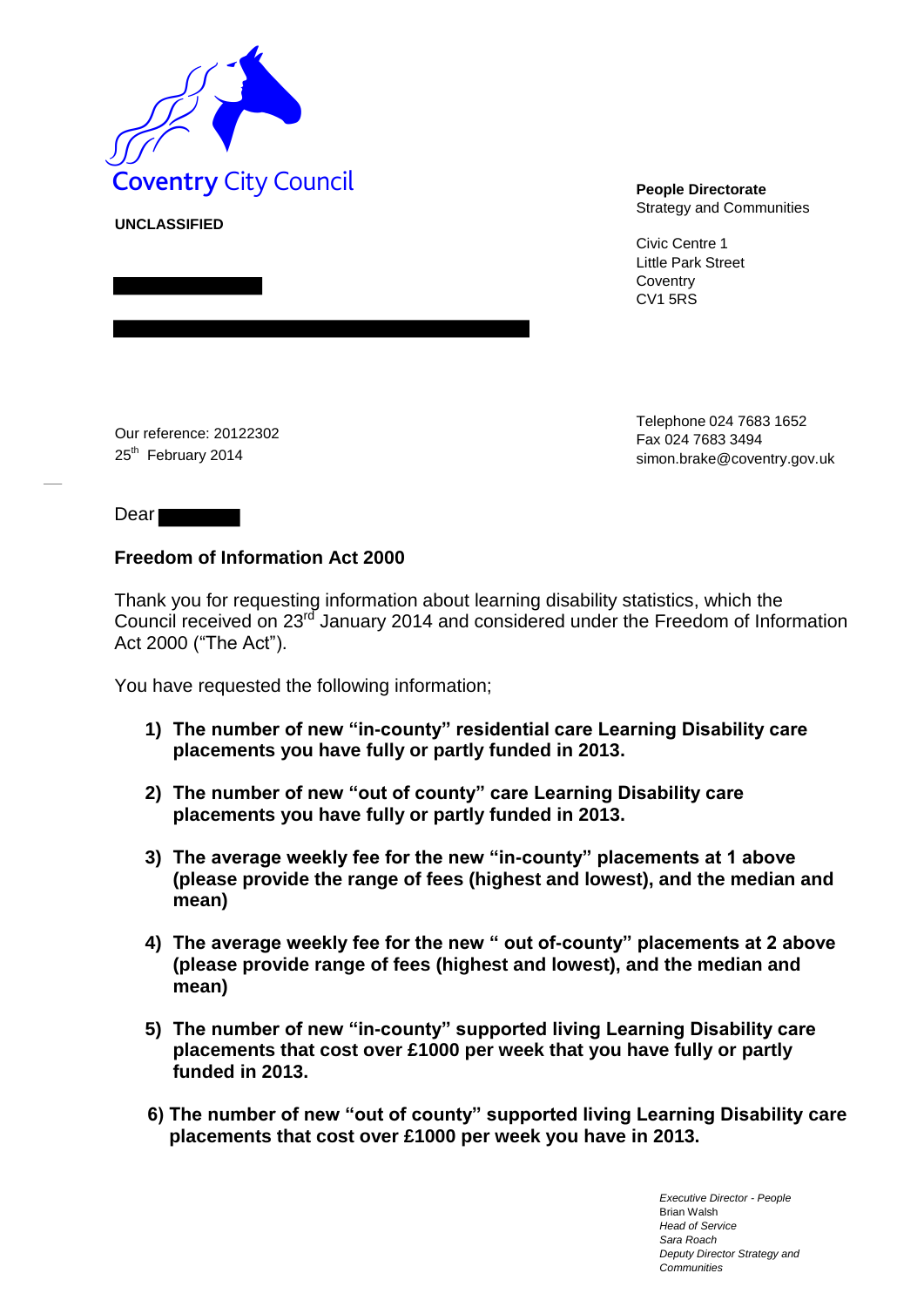

**UNCLASSIFIED**

Strategy and Communities

Civic Centre 1 Little Park Street **Coventry** CV1 5RS

Our reference: 20122302 25<sup>th</sup> February 2014

Telephone 024 7683 1652 Fax 024 7683 3494 simon.brake@coventry.gov.uk

Dear

### **Freedom of Information Act 2000**

Thank you for requesting information about learning disability statistics, which the Council received on 23<sup>rd</sup> January 2014 and considered under the Freedom of Information Act 2000 ("The Act").

You have requested the following information;

- **1) The number of new "in-county" residential care Learning Disability care placements you have fully or partly funded in 2013.**
- **2) The number of new "out of county" care Learning Disability care placements you have fully or partly funded in 2013.**
- **3) The average weekly fee for the new "in-county" placements at 1 above (please provide the range of fees (highest and lowest), and the median and mean)**
- **4) The average weekly fee for the new " out of-county" placements at 2 above (please provide range of fees (highest and lowest), and the median and mean)**
- **5) The number of new "in-county" supported living Learning Disability care placements that cost over £1000 per week that you have fully or partly funded in 2013.**
- **6) The number of new "out of county" supported living Learning Disability care placements that cost over £1000 per week you have in 2013.**

*Executive Director - People* Brian Walsh *Head of Service Sara Roach Deputy Director Strategy and Communities*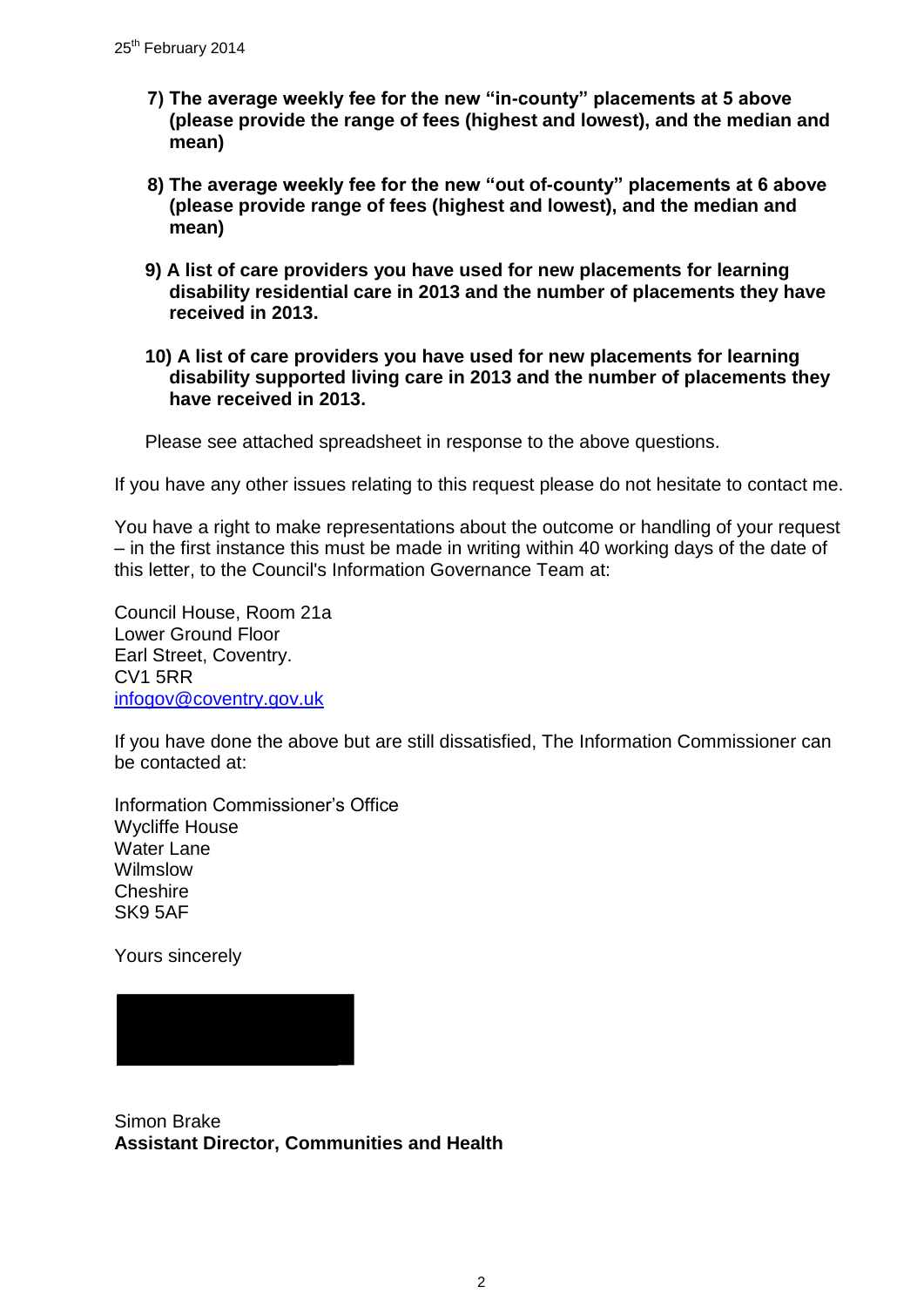- **7) The average weekly fee for the new "in-county" placements at 5 above (please provide the range of fees (highest and lowest), and the median and mean)**
- **8) The average weekly fee for the new "out of-county" placements at 6 above (please provide range of fees (highest and lowest), and the median and mean)**
- **9) A list of care providers you have used for new placements for learning disability residential care in 2013 and the number of placements they have received in 2013.**
- **10) A list of care providers you have used for new placements for learning disability supported living care in 2013 and the number of placements they have received in 2013.**

Please see attached spreadsheet in response to the above questions.

If you have any other issues relating to this request please do not hesitate to contact me.

You have a right to make representations about the outcome or handling of your request – in the first instance this must be made in writing within 40 working days of the date of this letter, to the Council's Information Governance Team at:

Council House, Room 21a Lower Ground Floor Earl Street, Coventry. CV1 5RR [infogov@coventry.gov.uk](mailto:infogov@coventry.gov.uk)

If you have done the above but are still dissatisfied, The Information Commissioner can be contacted at:

Information Commissioner's Office Wycliffe House Water Lane Wilmslow **Cheshire** SK9 5AF

Yours sincerely



```
Simon Brake 
Assistant Director, Communities and Health
```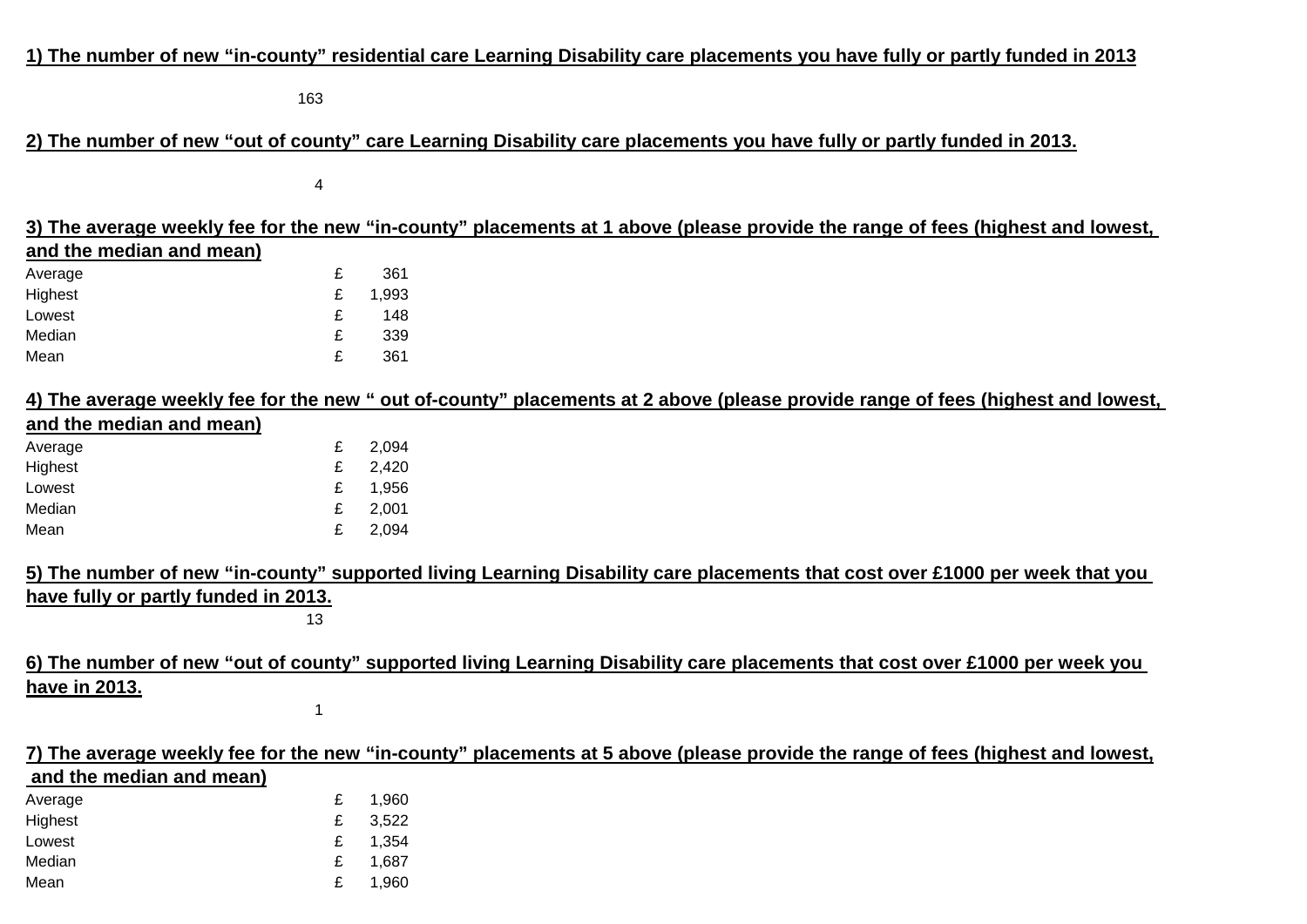## **1) The number of new "in-county" residential care Learning Disability care placements you have fully or partly funded in 2013**

163

## **2) The number of new "out of county" care Learning Disability care placements you have fully or partly funded in 2013.**

4

|                                      |    |       |  | 3) The average weekly fee for the new "in-county" placements at 1 above (please provide the range of fees (highest and lowest,  |
|--------------------------------------|----|-------|--|---------------------------------------------------------------------------------------------------------------------------------|
| and the median and mean)             |    |       |  |                                                                                                                                 |
| Average                              | £  | 361   |  |                                                                                                                                 |
| Highest                              | £  | 1,993 |  |                                                                                                                                 |
| Lowest                               | £  | 148   |  |                                                                                                                                 |
| Median                               | £  | 339   |  |                                                                                                                                 |
| Mean                                 | £  | 361   |  |                                                                                                                                 |
|                                      |    |       |  | 4) The average weekly fee for the new " out of-county" placements at 2 above (please provide range of fees (highest and lowest, |
| and the median and mean)             |    |       |  |                                                                                                                                 |
| Average                              | £  | 2,094 |  |                                                                                                                                 |
| Highest                              | £  | 2,420 |  |                                                                                                                                 |
| Lowest                               | £  | 1,956 |  |                                                                                                                                 |
| Median                               | £  | 2,001 |  |                                                                                                                                 |
| Mean                                 | £  | 2,094 |  |                                                                                                                                 |
|                                      |    |       |  | 5) The number of new "in-county" supported living Learning Disability care placements that cost over £1000 per week that you    |
| have fully or partly funded in 2013. |    |       |  |                                                                                                                                 |
|                                      | 13 |       |  |                                                                                                                                 |
|                                      |    |       |  | 6) The number of new "out of county" supported living Learning Disability care placements that cost over £1000 per week you     |
| have in 2013.                        |    |       |  |                                                                                                                                 |
|                                      | 1  |       |  |                                                                                                                                 |
|                                      |    |       |  |                                                                                                                                 |
|                                      |    |       |  | 7) The average weekly fee for the new "in-county" placements at 5 above (please provide the range of fees (highest and lowest,  |
| and the median and mean)             |    |       |  |                                                                                                                                 |
| Average                              | £  | 1,960 |  |                                                                                                                                 |

| .       |   | .     |
|---------|---|-------|
| Highest | £ | 3,522 |
| Lowest  |   | 1,354 |
| Median  |   | 1,687 |
| Mean    |   | 1,960 |
|         |   |       |